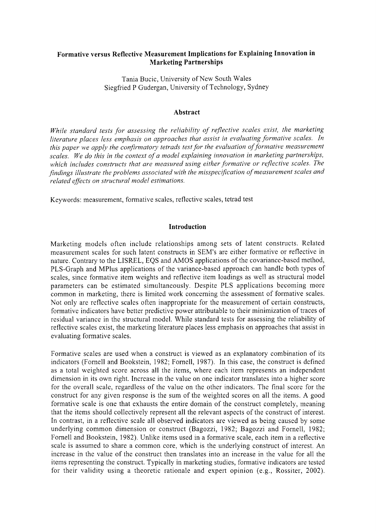# **Formative versus Reflective Measurement Implications for Explaining Innovation in Marketing Partnerships**

Tania Bucic, University of New South Wales Siegfried P Gudergan, University of Technology, Sydney

#### **Abstract**

*While standard tests for assessing the reliability of reflective scales exist, the marketing literature places less emphasis on approaches that assist in evaluating formative scales. In this paper we apply the confirmatory tetrads testfor the evaluation offormative measurement scales. We do this in the context of a model explaining innovation in marketing partnerships, which includes constructs that are measured using either formative or reflective scales. The findings illustrate the problems associated with the misspecification of measurement scales and related effects on structural model estimations.*

Keywords: measurement, formative scales, reflective scales, tetrad test

## **Introduction**

Marketing models often include relationships among sets of latent constructs. Related measurement scales for such latent constructs in SEM's are either formative or reflective in nature. Contrary to the LISREL, EQS and AMOS applications of the covariance-based method, PLS-Graph and MPlus applications of the variance-based approach can handle both types of scales, since formative item weights and reflective item loadings as well as structural model parameters can be estimated simultaneously. Despite PLS applications becoming more common in marketing, there is limited work concerning the assessment of formative scales. Not only are reflective scales often inappropriate for the measurement of certain constructs, formative indicators have better predictive power attributable to their minimization of traces of residual variance in the structural model. While standard tests for assessing the reliability of reflective scales exist, the marketing literature places less emphasis on approaches that assist in evaluating formative scales.

Formative scales are used when a construct is viewed as an explanatory combination of its indicators (Fornell and Bookstein, 1982; Fornell, 1987). In this case, the construct is defined as a total weighted score across all the items, where each item represents an independent dimension in its own right. Increase in the value on one indicator translates into a higher score for the overall scale, regardless of the value on the other indicators. The final score for the construct for any given response is the sum of the weighted scores on all the items. A good formative scale is one that exhausts the entire domain of the construct completely, meaning that the items should collectively represent all the relevant aspects of the construct of interest. In contrast, in a reflective scale all observed indicators are viewed as being caused by some underlying common dimension or construct (Bagozzi, 1982; Bagozzi and Fornell, 1982; Fornell and Bookstein, 1982). Unlike items used in a formative scale, each item in a reflective scale is assumed to share a common core, which is the underlying construct of interest. An increase in the value of the construct then translates into an increase in the value for all the items representing the construct. Typically in marketing studies, formative indicators are tested for their validity using a theoretic rationale and expert opinion (e.g., Rossiter, 2002).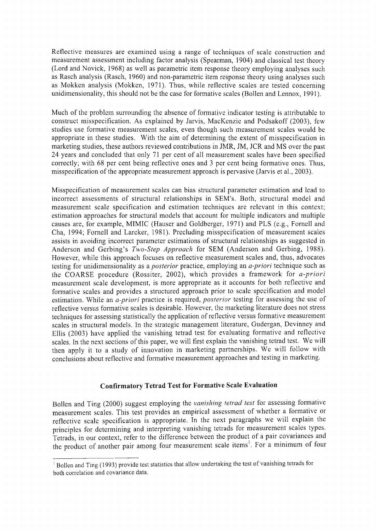Reflective measures are examined using a range of techniques of scale construction and measurement assessment including factor analysis (Spearman, 1904) and classical test theory (Lord and Novick, 1968) as well as parametric item response theory employing analyses such as Rasch analysis (Rasch, 1960) and non-parametric item response theory using analyses such as Mokken analysis (Mokken, 1971). Thus, while reflective scales are tested concerning unidimensionality, this should not be the case for formative scales (Bollen and Lennox, 1991).

Much of the problem surrounding the absence of formative indicator testing is attributable to construct misspecification. As explained by Jarvis, MacKenzie and Podsakoff (2003), few studies use formative measurement scales, even though such measurement scales would be appropriate in these studies. With the aim of determining the extent of misspecification in marketing studies, these authors reviewed contributions in JMR, JM, JCR and MS over the past 24 years and concluded that only 71 per cent of all measurement scales have been specified correctly; with 68 per cent being reflective ones and 3 per cent being formative ones. Thus, misspecification of the appropriate measurement approach is pervasive (Jarvis et al., 2003).

Misspecification of measurement scales can bias structural parameter estimation and lead to incorrect assessments of structural relationships in SEM's. Both, structural model and measurement scale specification and estimation techniques are relevant in this context; estimation approaches for structural models that account for multiple indicators and multiple causes are, for example, MIMIC (Hauser and Goldberger, 1971) and PLS (e.g., Fornell and Cha, 1994; Fornell and Larcker, 1981). Precluding misspecification of measurement scales assists in avoiding incorrect parameter estimations of structural relationships as suggested in Anderson and Gerbing's *Two-Step Approach* for SEM (Anderson and Gerbing, 1988). However, while this approach focuses on reflective measurement scales and, thus, advocates testing for unidimensionality as a *posterior* practice, employing an *a-priori* technique such as the COARSE procedure (Rossiter, 2002), which provides a framework for *a-priori* measurement scale development, is more appropriate as it accounts for both reflective and formative scales and provides a structured approach prior to scale specification and model estimation. While an *a-priori* practice is required, *posterior* testing for assessing the use of reflective versus formative scales is desirable. However, the marketing literature does not stress techniques for assessing statistically the application of reflective versus formative measurement scales in structural models. In the strategic management literature, Gudergan, Devinney and Ellis (2003) have applied the vanishing tetrad test for evaluating formative and reflective scales. In the next sections of this paper, we will first explain the vanishing tetrad test. We will then apply it to a study of innovation in marketing partnerships. We will follow with conclusions about reflective and formative measurement approaches and testing in marketing.

# **Confirmatory Tetrad Test for Formative Scale Evaluation**

Bollen and Ting (2000) suggest employing the *vanishing tetrad test* for assessing formative measurement scales. This test provides an empirical assessment of whether a formative or reflective scale specification is appropriate. In the next paragraphs we will explain the principles for determining and interpreting vanishing tetrads for measurement scales types. Tetrads, in our context, refer to the difference between the product of a pair covariances and the product of another pair among four measurement scale items<sup>1</sup>. For a minimum of four

<sup>&</sup>lt;sup>I</sup> Bollen and Ting (1993) provide test statistics that allow undertaking the test of vanishing tetrads for both correlation and covariance data.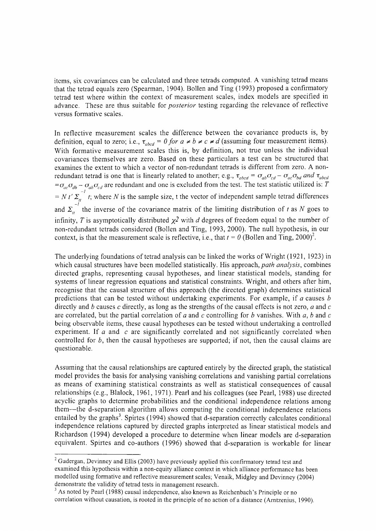items, six covariances can be calculated and three tetrads computed. A vanishing tetrad means that the tetrad equals zero (Spearman, 1904). Bollen and Ting (1993) proposed a confirmatory tetrad test where within the context of measurement scales, index models are specified in advance. These are thus suitable for *posterior* testing regarding the relevance of reflective versus formative scales.

In reflective measurement scales the difference between the covariance products is, by definition, equal to zero; i.e.,  $\tau_{abcd} = 0$  *for*  $a \neq b \neq c \neq d$  (assuming four measurement items). With formative measurement scales this is, by definition, not true unless the individual covariances themselves are zero. Based on these particulars a test can be structured that examines the extent to which a vector of non-redundant tetrads is different from zero. A nonredundant tetrad is one that is linearly related to another; e.g.,  $\tau_{abcd} = \sigma_{ab}\sigma_{cd} - \sigma_{ac}\sigma_{bd}$  and  $\tau_{abc}$  $=\sigma_{ac}\sigma_{db} - \sigma_{ab}\sigma_{cd}$  are redundant and one is excluded from the test. The test statistic utilized is: *T*  $= N t' \Sigma_{i}$  *t*; where *N* is the sample size, t the vector of independent sample tetrad difference *-I* and  $\Sigma_{tt}$  the inverse of the covariance matrix of the limiting distribution of *t* as *N* goes to infinity, *T* is asymptotically distributed  $\chi^2$  with *d* degrees of freedom equal to the number of non-redundant tetrads considered (Bollen and Ting, 1993, 2000). The null hypothesis, in our context, is that the measurement scale is reflective, i.e., that  $t = 0$  (Bollen and Ting, 2000)<sup>2</sup>.

The underlying foundations of tetrad analysis can be linked the works of Wright (1921, 1923) in which causal structures have been modelled statistically. His approach, *path analysis,* combines directed graphs, representing causal hypotheses, and linear statistical models, standing for systems of linear regression equations and statistical constraints. Wright, and others after him, recognise that the causal structure of this approach (the directed graph) determines statistical predictions that can be tested without undertaking experiments. For example, if *a* causes *b* directly and *b* causes *c* directly, as long as the strengths of the causal effects is not zero, *a* and *c* are correlated, but the partial correlation of *a* and c controlling for *b* vanishes. With *a,* band c being observable items, these causal hypotheses can be tested without undertaking a controlled experiment. If *a* and *c* are significantly correlated and not significantly correlated when controlled for *b,* then the causal hypotheses are supported; if not, then the causal claims are questionable.

Assuming that the causal relationships are captured entirely by the directed graph, the statistical model provides the basis for analysing vanishing correlations and vanishing partial correlations as means of examining statistical constraints as well as statistical consequences of causal relationships (e.g., Blalock, 1961, 1971). Pearl and his colleagues (see Pearl, 1988) use directed acyclic graphs to determine probabilities and the conditional independence relations among them-the d-separation algorithm allows computing the conditional independence relations entailed by the graphs<sup>3</sup>. Spirtes (1994) showed that d-separation correctly calculates conditional independence relations captured by directed graphs interpreted as linear statistical models and Richardson (1994) developed a procedure to determine when linear models are d-separation equivalent. Spirtes and co-authors (1996) showed that d-separation is workable for linear

<sup>&</sup>lt;sup>2</sup> Gudergan, Devinney and Ellis (2003) have previously applied this confirmatory tetrad test and examined this hypothesis within a non-equity alliance context in which alliance performance has been modelled using formative and reflective measurement scales; Venaik, Midgley and Devinney (2004) demonstrate the validity of tetrad tests in management research.

<sup>&</sup>lt;sup>3</sup> As noted by Pearl (1988) causal independence, also known as Reichenbach's Principle or no correlation without causation, is rooted in the principle of no action of a distance (Amtzenius, 1990).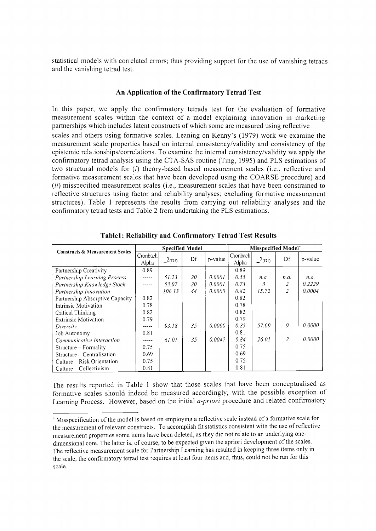statistical models with correlated errors; thus providing support for the use of vanishing tetrads and the vanishing tetrad test.

## **An Application of the Confirmatory Tetrad Test**

In this paper, we apply the confirmatory tetrads test for the evaluation of formative measurement scales within the context of a model explaining innovation in marketing partnerships which includes latent constructs of which some are measured using reflective scales and others using formative scales. Leaning on Kenny's (1979) work we examine the measurement scale properties based on internal consistency/validity and consistency of the epistemic relationships/correlations. To examine the internal consistency/validity we apply the confirmatory tetrad analysis using the CTA-SAS routine (Ting, 1995) and PLS estimations of two structural models for (i) theory-based based measurement scales (i.e., reflective and formative measurement scales that have been developed using the COARSE procedure) and *(ii)* misspecified measurement scales (i.e., measurement scales that have been constrained to reflective structures using factor and reliability analyses; excluding formative measurement structures). Table I represents the results from carrying out reliability analyses and the confirmatory tetrad tests and Table 2 from undertaking the PLS estimations.

| <b>Constructs &amp; Measurement Scales</b> | <b>Specified Model</b> |        |    |         | Misspecified Model <sup>4</sup> |                |                |         |  |
|--------------------------------------------|------------------------|--------|----|---------|---------------------------------|----------------|----------------|---------|--|
|                                            | Cronbach<br>Alpha      | 2(Df)  | Df | p-value | Cronbach<br>Alpha               | 2(Df)          | Df             | p-value |  |
| Partnership Creativity                     | 0.89                   |        |    |         | 0.89                            |                |                |         |  |
| Partnership Learning Process               | -----                  | 51.23  | 20 | 0.0001  | 0.55                            | n.a.           | n.a.           | n.a.    |  |
| Partnership Knowledge Stock                | -----                  | 53.07  | 20 | 0.0001  | 0.73                            | $\mathfrak{Z}$ | 2              | 0.2229  |  |
| Partnership Innovation                     | -----                  | 106.13 | 44 | 0.0000  | 0.82                            | 15.72          | $\overline{z}$ | 0.0004  |  |
| Partnership Absorptive Capacity            | 0.82                   |        |    |         | 0.82                            |                |                |         |  |
| Intrinsic Motivation                       | 0.78                   |        |    |         | 0.78                            |                |                |         |  |
| Critical Thinking                          | 0.82                   |        |    |         | 0.82                            |                |                |         |  |
| <b>Extrinsic Motivation</b>                | 0.79                   |        |    |         | 0.79                            |                |                |         |  |
| Diversity                                  | -----                  | 93.18  | 35 | 0.0000  | 0.85                            | 57.09          | 9              | 0.0000  |  |
| Job Autonomy                               | 0.81                   |        |    |         | 0.81                            |                |                |         |  |
| Communicative Interaction                  | -----                  | 61.01  | 35 | 0.0047  | 0.84                            | 26.01          | 2              | 0.0000  |  |
| $Structure - Formality$                    | 0.75                   |        |    |         | 0.75                            |                |                |         |  |
| Structure – Centralisation                 | 0.69                   |        |    |         | 0.69                            |                |                |         |  |
| Culture - Risk Orientation                 | 0.75                   |        |    |         | 0.75                            |                |                |         |  |
| Culture – Collectivism                     | 0.81                   |        |    |         | 0.81                            |                |                |         |  |

**Table1: Reliability and Confirmatory Tetrad Test Results**

The results reported in Table I show that those scales that have been conceptualised as formative scales should indeed be measured accordingly, with the possible exception of Learning Process. However, based on the initial *a-priori* procedure and related confirmatory

<sup>&</sup>lt;sup>4</sup> Misspecification of the model is based on employing a reflective scale instead of a formative scale for the measurement of relevant constructs. To accomplish fit statistics consistent with the use of reflective measurement properties some items have been deleted, as they did not relate to an underlying onedimensional core. The latter is, of course, to be expected given the apriori development of the scales. The reflective measurement scale for Partnership Learning has resulted in keeping three items only in the scale; the confirmatory tetrad test requires at least four items and, thus, could not be run for this scale.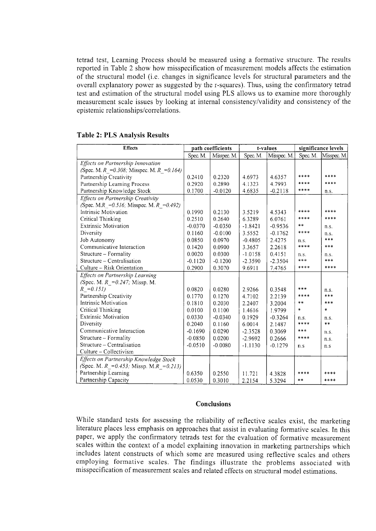tetrad test, Learning Process should be measured using a formative structure. The results reported in Table 2 show how misspecification of measurement models affects the estimation of the structural model (i.e. changes in significance levels for structural parameters and the overall explanatory power as suggested by the r-squares). Thus, using the confirmatory tetrad test and estimation of the structural model using PLS allows us to examine more thoroughly measurement scale issues by looking at internal consistency/validity and consistency of the epistemic relationships/correlations.

| <b>Effects</b>                              | path coefficients |             |           | t-values    | significance levels |             |
|---------------------------------------------|-------------------|-------------|-----------|-------------|---------------------|-------------|
|                                             | Spec. M.          | Misspec. M. | Spec. M.  | Misspec. M. | Spec. M.            | Misspec. M. |
| Effects on Partnership Innovation           |                   |             |           |             |                     |             |
| (Spec. M. R = 0.308; Misspec. M. R = 0.164) |                   |             |           |             |                     |             |
| Partnership Creativity                      | 0.2410            | 0.2320      | 4.6973    | 4.6357      | ****                | ****        |
| Partnership Learning Process                | 0.2920            | 0.2890      | 4.1323    | 4.7993      | ****                | ****        |
| Partnership Knowledge Stock                 | 0.1700            | $-0.0120$   | 4.6835    | $-0.2118$   | ****                | n.S.        |
| <b>Effects on Partnership Creativity</b>    |                   |             |           |             |                     |             |
| (Spec. M.R = 0.516; Misspec. M.R = 0.492)   |                   |             |           |             |                     |             |
| Intrinsic Motivation                        | 0.1990            | 0.2130      | 3.5219    | 4.5343      | ****                | ****        |
| <b>Critical Thinking</b>                    | 0.2510            | 0.2640      | 6.3289    | 6.0761      | ****                | ****        |
| <b>Extrinsic Motivation</b>                 | $-0.0370$         | $-0.0350$   | $-1.8421$ | $-0.9536$   | **                  | n.S.        |
| Diversity                                   | 0.1160            | $-0.0100$   | 3.5552    | $-0.1762$   | ****                | n.s.        |
| Job Autonomy                                | 0.0850            | 0.0970      | $-0.4805$ | 2.4275      | n.S.                | ***         |
| Communicative Interaction                   | 0.1420            | 0.0900      | 3.3657    | 2.2618      | ****                | ***         |
| Structure – Formality                       | 0.0020            | 0.0300      | $-1.0158$ | 0.4151      | n.s.                | n.s.        |
| Structure – Centralisation                  | $-0.1120$         | $-0.1200$   | $-2.3590$ | $-2.3504$   | $* * *$             | ***         |
| Culture – Risk Orientation                  | 0.2900            | 0.3070      | 9.6911    | 7.4765      | ****                | ****        |
| <b>Effects on Partnership Learning</b>      |                   |             |           |             |                     |             |
| (Spec. M. $R = 0.247$ ; Missp. M.           |                   |             |           |             |                     |             |
| $R = 0.151$                                 | 0.0820            | 0.0280      | 2.9266    | 0.3548      | ***                 | n.s.        |
| Partnership Creativity                      | 0.1770            | 0.1270      | 4.7102    | 2.2139      | ****                | ***         |
| Intrinsic Motivation                        | 0.1810            | 0.2030      | 2.2407    | 3.2004      | $* *$               | ***         |
| Critical Thinking                           | 0.0100            | 0.1100      | 1.4616    | 1.9799      | $\ddagger$          | $\star$     |
| <b>Extrinsic Motivation</b>                 | 0.0330            | $-0.0340$   | 0.1929    | $-0.3264$   | n.s.                | n.S.        |
| Diversity                                   | 0.2040            | 0.1160      | 6.0014    | 2.1487      | ****                | $* *$       |
| Communicative Interaction                   | $-0.1690$         | 0.0290      | $-2.3528$ | 0.3069      | ***                 | n.S.        |
| Structure - Formality                       | $-0.0850$         | 0.0200      | $-2.9692$ | 0.2666      | ****                | n.s.        |
| Structure – Centralisation                  | $-0.0510$         | $-0.0080$   | $-1.1130$ | $-0.1279$   | n.s                 | n.s         |
| Culture - Collectivism                      |                   |             |           |             |                     |             |
| Effects on Partnership Knowledge Stock      |                   |             |           |             |                     |             |
| (Spec. M. R = 0.453; Missp. M.R = 0.213)    |                   |             |           |             |                     |             |
| Partnership Learning                        | 0.6350            | 0.2550      | 11.721    | 4.3828      | ****                | ****        |
| Partnership Capacity                        | 0.0530            | 0.3010      | 2.2154    | 5.3294      | $* *$               | ****        |

## Table 2: PLS Analysis Results

## **Conclusions**

While standard tests for assessing the reliability of reflective scales exist, the marketing literature places less emphasis on approaches that assist in evaluating formative scales. In this paper, we apply the confirmatory tetrads test for the evaluation of formative measurement scales within the context of a model explaining innovation in marketing partnerships which includes latent constructs of which some are measured using reflective scales and others employing formative scales. The findings illustrate the problems associated with misspecification of measurement scales and related effects on structural model estimations.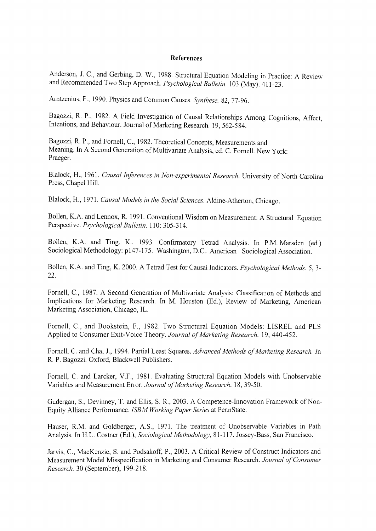## **References**

Anderson, 1. c., and Gerbing, D. W., 1988. Structural Equation Modeling in Practice: A Review and Recommended Two Step Approach. *Psychological Bulletin.* 103 (May). 411-23.

Arntzenius, F., 1990. Physics and Common Causes. *Synthese.* 82,77-96.

Bagozzi, R. P., 1982. A Field Investigation of Causal Relationships Among Cognitions, Affect, Intentions, and Behaviour. Journal of Marketing Research. 19, 562-584.

Bagozzi, R. P., and Fornell, C., 1982. Theoretical Concepts, Measurements and Meaning. In A Second Generation of Multivariate Analysis, ed. C. Fornell. New York: Praeger.

Blalock, H., 1961. *Causal Inferences in Non-experimental Research.* University of North Carolina Press, Chapel Hill.

Blalock, H., 1971. *Causal Models in the Social Sciences.* Aldine-Atherton, Chicago.

Bollen, K.A and Lennox, R 1991. Conventional Wisdom on Measurement: A Structural Equation Perspective. *Psychological Bulletin.* 110: 305-314.

Bollen, K.A. and Ting, K., 1993. Confirmatory Tetrad Analysis. In P.M. Marsden (ed.) Sociological Methodology: pI47-175. Washington, D.C.: American Sociological Association.

Bollen, K.A and Ting, K. 2000. A Tetrad Test for Causal Indicators. *Psychological Methods.* 5, 3- 22.

Fornell, c., 1987. A Second Generation of Multivariate Analysis: Classification of Methods and Implications for Marketing Research. In M. Houston (Ed.), Review of Marketing, American Marketing Association, Chicago, IL.

Fornell, c., and Bookstein, F., 1982. Two Structural Equation Models: LISREL and PLS Applied to Consumer Exit-Voice Theory. *Journal of Marketing Research.* 19, 440-452.

Fornell, C. and Cha, 1., 1994. Partial Least Squares. *Advanced Methods of Marketing Research. In* R. P. Bagozzi. Oxford, Blackwell Publishers.

Fornell, C. and Larcker, V.F., 1981. Evaluating Structural Equation Models with Unobservable Variables and Measurement Error. *Journal of Marketing Research.* 18,39-50.

Gudergan, S., Devinney, T. and Ellis, S. R, 2003. A Competence-Innovation Framework of Non-Equity Alliance Performance. *ISBM Working Paper Series* at PennState.

Hauser, R.M. and Goldberger, AS., 1971. The treatment of Unobservable Variables in Path Analysis. In H.L. Costner (Ed.), *Sociological Methodology,* 81-117. Jossey-Bass, San Francisco.

Jarvis, c., MacKenzie, S. and Podsakoff, P., 2003. A Critical Review of Construct Indicators and Measurement Model Misspecification in Marketing and Consumer Research. *Journal of Consumer Research.* 30 (September), 199-218.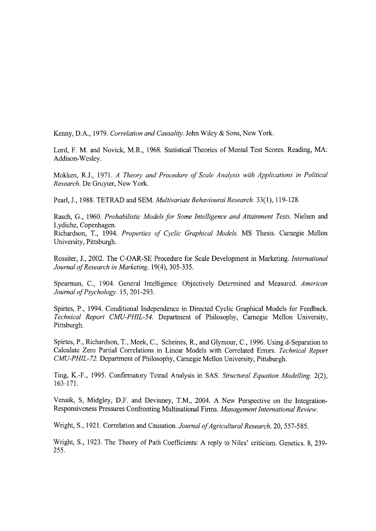Kenny, D.A., 1979. *Correlation and Causality.* John Wiley & Sons, New York.

Lord, F. M. and Novick, M.R., 1968. Statistical Theories of Mental Test Scores. Reading, MA: Addison-Wesley.

Mokken, R.I., 1971. *A Theory and Procedure of Scale Analysis with Applications in Political Research.* De Gruyter, New York.

Pearl, J., 1988. TETRAD and SEM. *Multivariate Behavioural Research.* 33(1), 119-128.

Rasch, G., 1960. *Probabilistic Models for Some Intelligence and Attainment Tests.* Nielsen and Lydiche, Copenhagen.

Richardson, 1., 1994. *Properties of Cyclic Graphical Models.* MS Thesis. Carnegie Mellon University, Pittsburgh.

Rossiter, J., 2002. The C-OAR-SE Procedure for Scale Development in Marketing. *International Journal of Research in Marketing.* 19(4),305-335.

Spearman, c., 1904. General Intelligence: Objectively Determined and Measured. *American Journal of Psychology.* 15,201-293.

Spirtes, P., 1994. Conditional Independence in Directed Cyclic Graphical Models for Feedback. *Technical Report CMU-PHIL-54.* Department of Philosophy, Carnegie Mellon University, Pittsburgh.

Spirtes, P., Richardson, T., Meek, C., Scheines, R., and Glymour, c., 1996. Using d-Separation to Calculate Zero Partial Correlations in Linear Models with Correlated Errors. *Technical Report CMU-PHIL-72.* Department of Philosophy, Carnegie Mellon University, Pittsburgh.

Ting, K.-F., 1995. Conftrmatory Tetrad Analysis in SAS. *Structural Equation Modelling. 2(2),* 163-171.

Venaik, S, Midgley, D.F. and Devinney, T.M., 2004. A New Perspective on the Integration-Responsiveness Pressures Confronting Multinational Finns. *Management International Review.*

Wright, S., 1921. Correlation and Causation. *Journal of Agricultural Research.* 20, 557-585.

Wright, S., 1923. The Theory of Path Coefficients: A reply to Niles' criticism. Genetics. 8, 239- 255.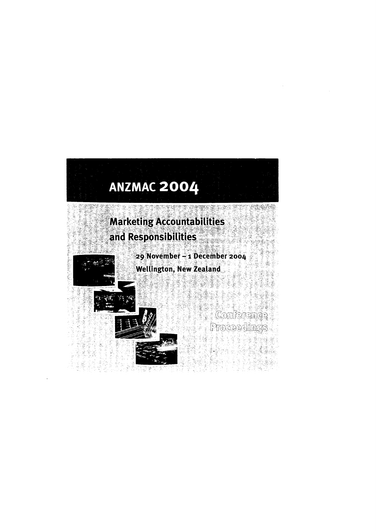